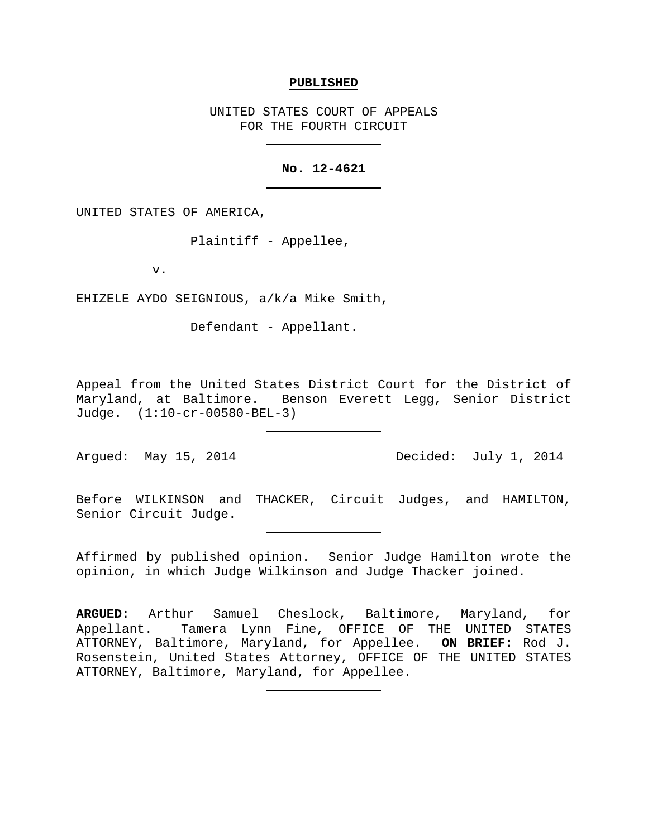#### **PUBLISHED**

UNITED STATES COURT OF APPEALS FOR THE FOURTH CIRCUIT

# **No. 12-4621**

UNITED STATES OF AMERICA,

Plaintiff - Appellee,

v.

EHIZELE AYDO SEIGNIOUS, a/k/a Mike Smith,

Defendant - Appellant.

Appeal from the United States District Court for the District of Maryland, at Baltimore. Benson Everett Legg, Senior District Judge. (1:10-cr-00580-BEL-3)

Argued: May 15, 2014 Decided: July 1, 2014

Before WILKINSON and THACKER, Circuit Judges, and HAMILTON, Senior Circuit Judge.

Affirmed by published opinion. Senior Judge Hamilton wrote the opinion, in which Judge Wilkinson and Judge Thacker joined.

**ARGUED:** Arthur Samuel Cheslock, Baltimore, Maryland, for Appellant. Tamera Lynn Fine, OFFICE OF THE UNITED STATES ATTORNEY, Baltimore, Maryland, for Appellee. **ON BRIEF:** Rod J. Rosenstein, United States Attorney, OFFICE OF THE UNITED STATES ATTORNEY, Baltimore, Maryland, for Appellee.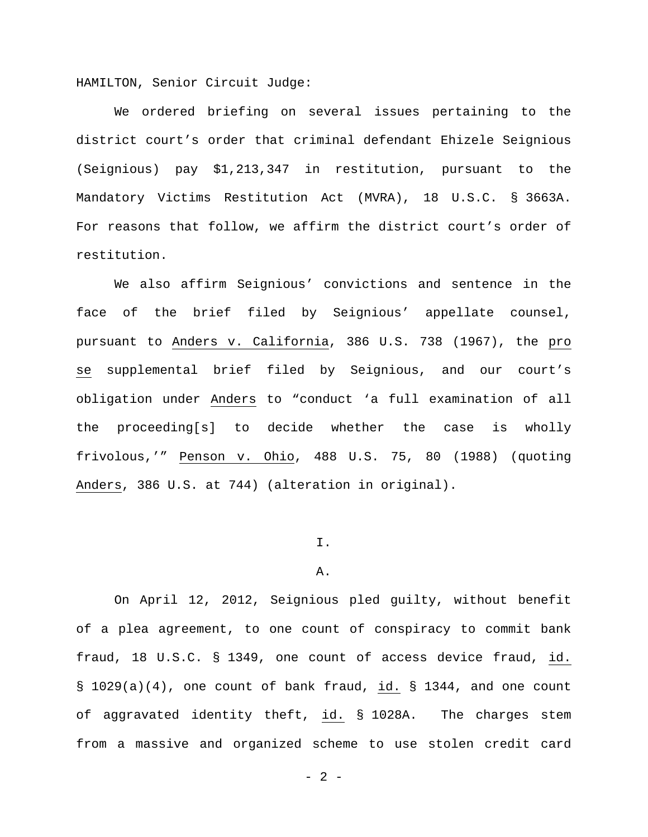HAMILTON, Senior Circuit Judge:

We ordered briefing on several issues pertaining to the district court's order that criminal defendant Ehizele Seignious (Seignious) pay \$1,213,347 in restitution, pursuant to the Mandatory Victims Restitution Act (MVRA), 18 U.S.C. § 3663A. For reasons that follow, we affirm the district court's order of restitution.

We also affirm Seignious' convictions and sentence in the face of the brief filed by Seignious' appellate counsel, pursuant to Anders v. California, 386 U.S. 738 (1967), the pro se supplemental brief filed by Seignious, and our court's obligation under Anders to "conduct 'a full examination of all the proceeding[s] to decide whether the case is wholly frivolous,'" Penson v. Ohio, 488 U.S. 75, 80 (1988) (quoting Anders, 386 U.S. at 744) (alteration in original).

# I.

#### A.

On April 12, 2012, Seignious pled guilty, without benefit of a plea agreement, to one count of conspiracy to commit bank fraud, 18 U.S.C. § 1349, one count of access device fraud, id. § 1029(a)(4), one count of bank fraud, id. § 1344, and one count of aggravated identity theft, id. § 1028A. The charges stem from a massive and organized scheme to use stolen credit card

 $- 2 -$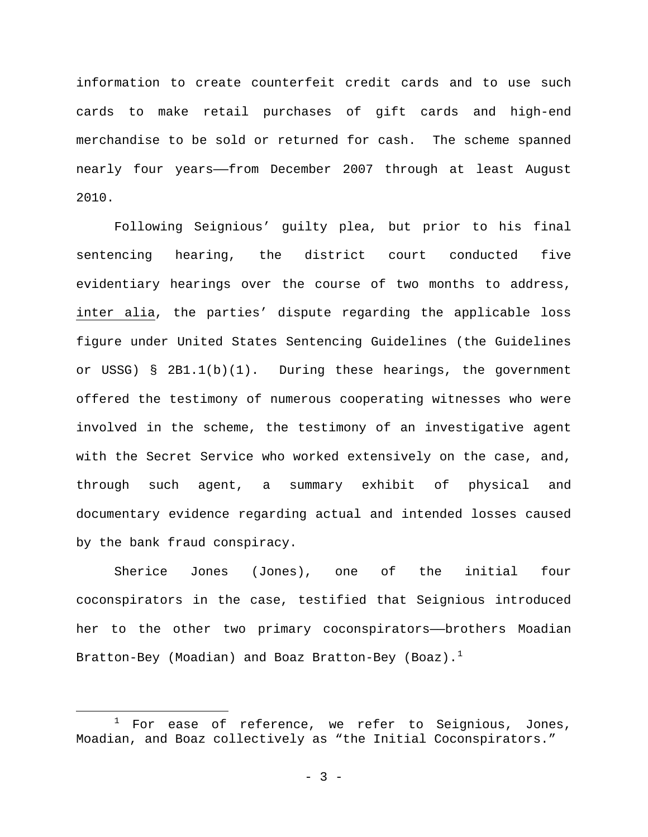information to create counterfeit credit cards and to use such cards to make retail purchases of gift cards and high-end merchandise to be sold or returned for cash. The scheme spanned nearly four years——from December 2007 through at least August 2010.

Following Seignious' guilty plea, but prior to his final sentencing hearing, the district court conducted five evidentiary hearings over the course of two months to address, inter alia, the parties' dispute regarding the applicable loss figure under United States Sentencing Guidelines (the Guidelines or USSG) § 2B1.1(b)(1). During these hearings, the government offered the testimony of numerous cooperating witnesses who were involved in the scheme, the testimony of an investigative agent with the Secret Service who worked extensively on the case, and, through such agent, a summary exhibit of physical and documentary evidence regarding actual and intended losses caused by the bank fraud conspiracy.

Sherice Jones (Jones), one of the initial four coconspirators in the case, testified that Seignious introduced her to the other two primary coconspirators--brothers Moadian Bratton-Bey (Moadian) and Boaz Bratton-Bey (Boaz).<sup>[1](#page-2-0)</sup>

<span id="page-2-0"></span> $1$  For ease of reference, we refer to Seignious, Jones, Moadian, and Boaz collectively as "the Initial Coconspirators."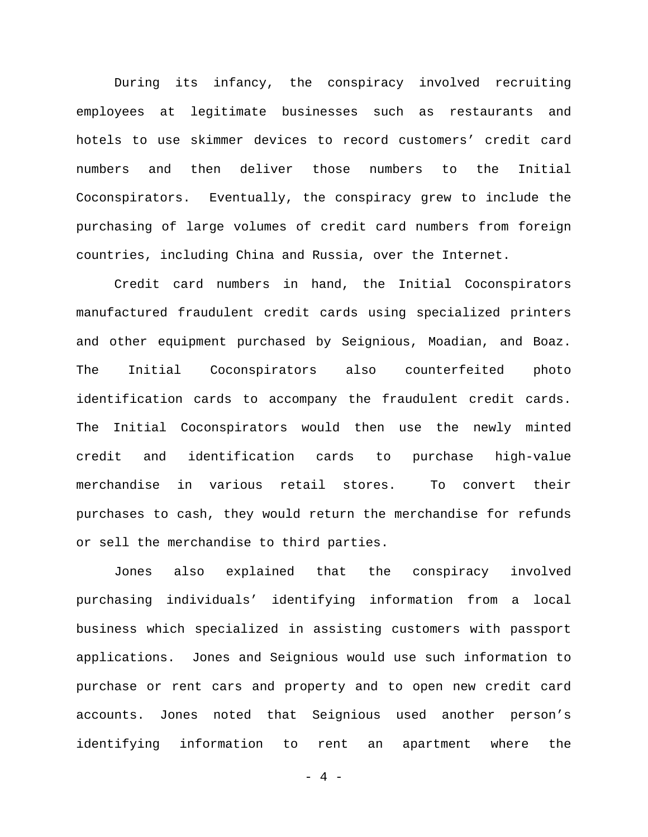During its infancy, the conspiracy involved recruiting employees at legitimate businesses such as restaurants and hotels to use skimmer devices to record customers' credit card numbers and then deliver those numbers to the Initial Coconspirators. Eventually, the conspiracy grew to include the purchasing of large volumes of credit card numbers from foreign countries, including China and Russia, over the Internet.

Credit card numbers in hand, the Initial Coconspirators manufactured fraudulent credit cards using specialized printers and other equipment purchased by Seignious, Moadian, and Boaz. The Initial Coconspirators also counterfeited photo identification cards to accompany the fraudulent credit cards. The Initial Coconspirators would then use the newly minted credit and identification cards to purchase high-value merchandise in various retail stores. To convert their purchases to cash, they would return the merchandise for refunds or sell the merchandise to third parties.

Jones also explained that the conspiracy involved purchasing individuals' identifying information from a local business which specialized in assisting customers with passport applications. Jones and Seignious would use such information to purchase or rent cars and property and to open new credit card accounts. Jones noted that Seignious used another person's identifying information to rent an apartment where the

 $- 4 -$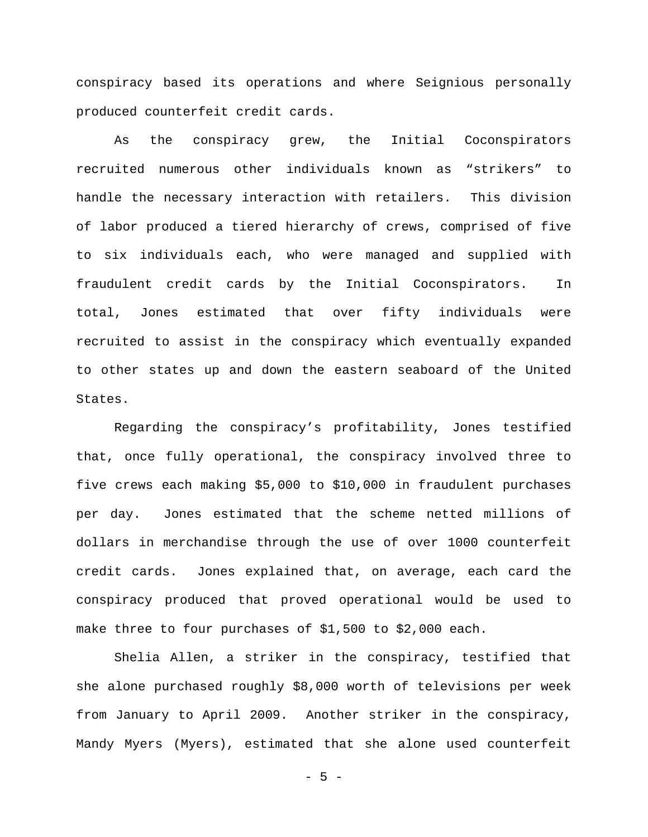conspiracy based its operations and where Seignious personally produced counterfeit credit cards.

As the conspiracy grew, the Initial Coconspirators recruited numerous other individuals known as "strikers" to handle the necessary interaction with retailers. This division of labor produced a tiered hierarchy of crews, comprised of five to six individuals each, who were managed and supplied with fraudulent credit cards by the Initial Coconspirators. In total, Jones estimated that over fifty individuals were recruited to assist in the conspiracy which eventually expanded to other states up and down the eastern seaboard of the United States.

Regarding the conspiracy's profitability, Jones testified that, once fully operational, the conspiracy involved three to five crews each making \$5,000 to \$10,000 in fraudulent purchases per day. Jones estimated that the scheme netted millions of dollars in merchandise through the use of over 1000 counterfeit credit cards. Jones explained that, on average, each card the conspiracy produced that proved operational would be used to make three to four purchases of \$1,500 to \$2,000 each.

Shelia Allen, a striker in the conspiracy, testified that she alone purchased roughly \$8,000 worth of televisions per week from January to April 2009. Another striker in the conspiracy, Mandy Myers (Myers), estimated that she alone used counterfeit

- 5 -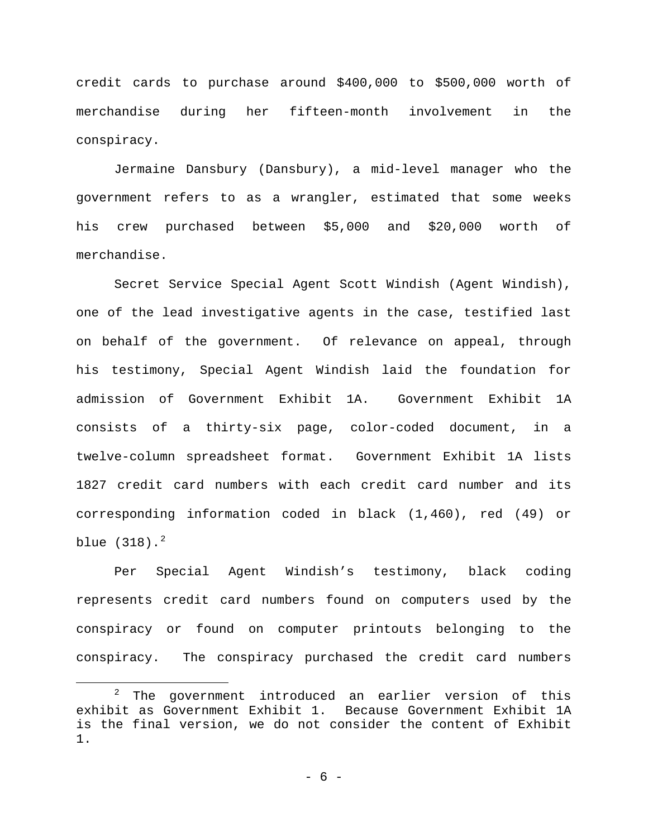credit cards to purchase around \$400,000 to \$500,000 worth of merchandise during her fifteen-month involvement in the conspiracy.

Jermaine Dansbury (Dansbury), a mid-level manager who the government refers to as a wrangler, estimated that some weeks his crew purchased between \$5,000 and \$20,000 worth of merchandise.

Secret Service Special Agent Scott Windish (Agent Windish), one of the lead investigative agents in the case, testified last on behalf of the government. Of relevance on appeal, through his testimony, Special Agent Windish laid the foundation for admission of Government Exhibit 1A. Government Exhibit 1A consists of a thirty-six page, color-coded document, in a twelve-column spreadsheet format. Government Exhibit 1A lists 1827 credit card numbers with each credit card number and its corresponding information coded in black (1,460), red (49) or blue  $(318)$ .<sup>[2](#page-5-0)</sup>

Per Special Agent Windish's testimony, black coding represents credit card numbers found on computers used by the conspiracy or found on computer printouts belonging to the conspiracy. The conspiracy purchased the credit card numbers

<span id="page-5-0"></span> $2$  The government introduced an earlier version of this exhibit as Government Exhibit 1. Because Government Exhibit 1A is the final version, we do not consider the content of Exhibit 1.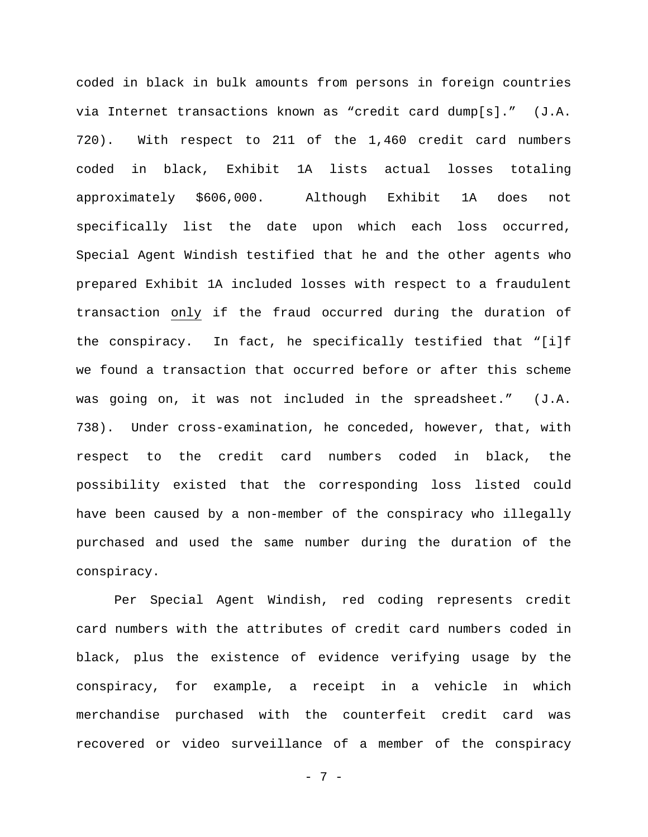coded in black in bulk amounts from persons in foreign countries via Internet transactions known as "credit card dump[s]." (J.A. 720). With respect to 211 of the 1,460 credit card numbers coded in black, Exhibit 1A lists actual losses totaling approximately \$606,000. Although Exhibit 1A does not specifically list the date upon which each loss occurred, Special Agent Windish testified that he and the other agents who prepared Exhibit 1A included losses with respect to a fraudulent transaction only if the fraud occurred during the duration of the conspiracy. In fact, he specifically testified that "[i]f we found a transaction that occurred before or after this scheme was going on, it was not included in the spreadsheet." (J.A. 738). Under cross-examination, he conceded, however, that, with respect to the credit card numbers coded in black, the possibility existed that the corresponding loss listed could have been caused by a non-member of the conspiracy who illegally purchased and used the same number during the duration of the conspiracy.

Per Special Agent Windish, red coding represents credit card numbers with the attributes of credit card numbers coded in black, plus the existence of evidence verifying usage by the conspiracy, for example, a receipt in a vehicle in which merchandise purchased with the counterfeit credit card was recovered or video surveillance of a member of the conspiracy

- 7 -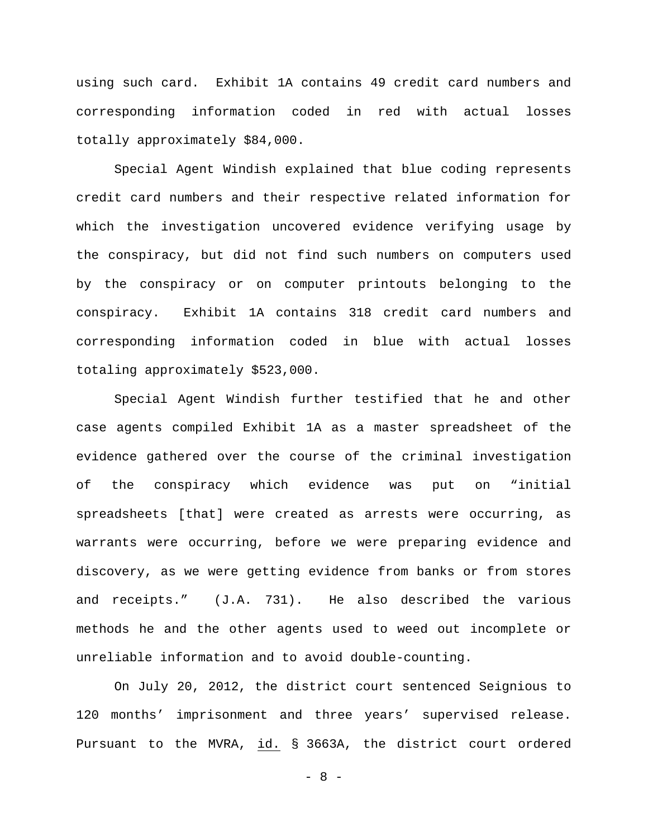using such card. Exhibit 1A contains 49 credit card numbers and corresponding information coded in red with actual losses totally approximately \$84,000.

Special Agent Windish explained that blue coding represents credit card numbers and their respective related information for which the investigation uncovered evidence verifying usage by the conspiracy, but did not find such numbers on computers used by the conspiracy or on computer printouts belonging to the conspiracy. Exhibit 1A contains 318 credit card numbers and corresponding information coded in blue with actual losses totaling approximately \$523,000.

Special Agent Windish further testified that he and other case agents compiled Exhibit 1A as a master spreadsheet of the evidence gathered over the course of the criminal investigation of the conspiracy which evidence was put on "initial spreadsheets [that] were created as arrests were occurring, as warrants were occurring, before we were preparing evidence and discovery, as we were getting evidence from banks or from stores and receipts." (J.A. 731). He also described the various methods he and the other agents used to weed out incomplete or unreliable information and to avoid double-counting.

On July 20, 2012, the district court sentenced Seignious to 120 months' imprisonment and three years' supervised release. Pursuant to the MVRA, id. § 3663A, the district court ordered

- 8 -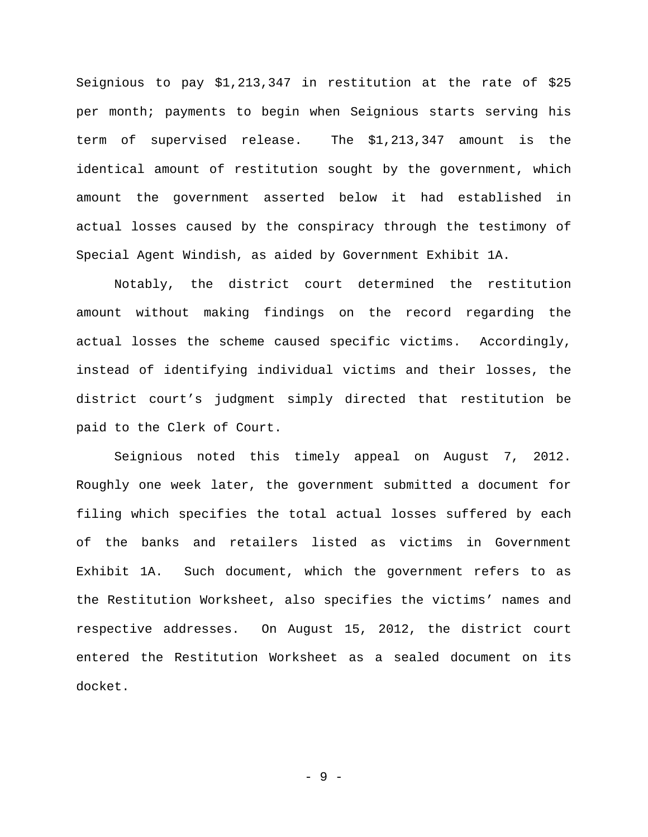Seignious to pay \$1,213,347 in restitution at the rate of \$25 per month; payments to begin when Seignious starts serving his term of supervised release. The \$1,213,347 amount is the identical amount of restitution sought by the government, which amount the government asserted below it had established in actual losses caused by the conspiracy through the testimony of Special Agent Windish, as aided by Government Exhibit 1A.

Notably, the district court determined the restitution amount without making findings on the record regarding the actual losses the scheme caused specific victims. Accordingly, instead of identifying individual victims and their losses, the district court's judgment simply directed that restitution be paid to the Clerk of Court.

Seignious noted this timely appeal on August 7, 2012. Roughly one week later, the government submitted a document for filing which specifies the total actual losses suffered by each of the banks and retailers listed as victims in Government Exhibit 1A. Such document, which the government refers to as the Restitution Worksheet, also specifies the victims' names and respective addresses. On August 15, 2012, the district court entered the Restitution Worksheet as a sealed document on its docket.

- 9 -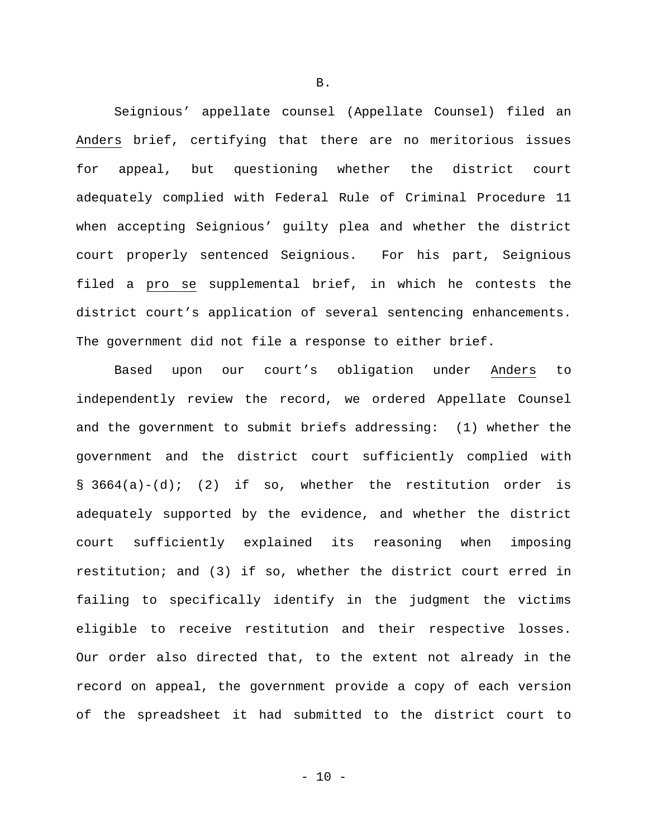Seignious' appellate counsel (Appellate Counsel) filed an Anders brief, certifying that there are no meritorious issues for appeal, but questioning whether the district court adequately complied with Federal Rule of Criminal Procedure 11 when accepting Seignious' guilty plea and whether the district court properly sentenced Seignious. For his part, Seignious filed a pro se supplemental brief, in which he contests the district court's application of several sentencing enhancements. The government did not file a response to either brief.

 Based upon our court's obligation under Anders to independently review the record, we ordered Appellate Counsel and the government to submit briefs addressing: (1) whether the government and the district court sufficiently complied with § 3664(a)-(d); (2) if so, whether the restitution order is adequately supported by the evidence, and whether the district court sufficiently explained its reasoning when imposing restitution; and (3) if so, whether the district court erred in failing to specifically identify in the judgment the victims eligible to receive restitution and their respective losses. Our order also directed that, to the extent not already in the record on appeal, the government provide a copy of each version of the spreadsheet it had submitted to the district court to

B.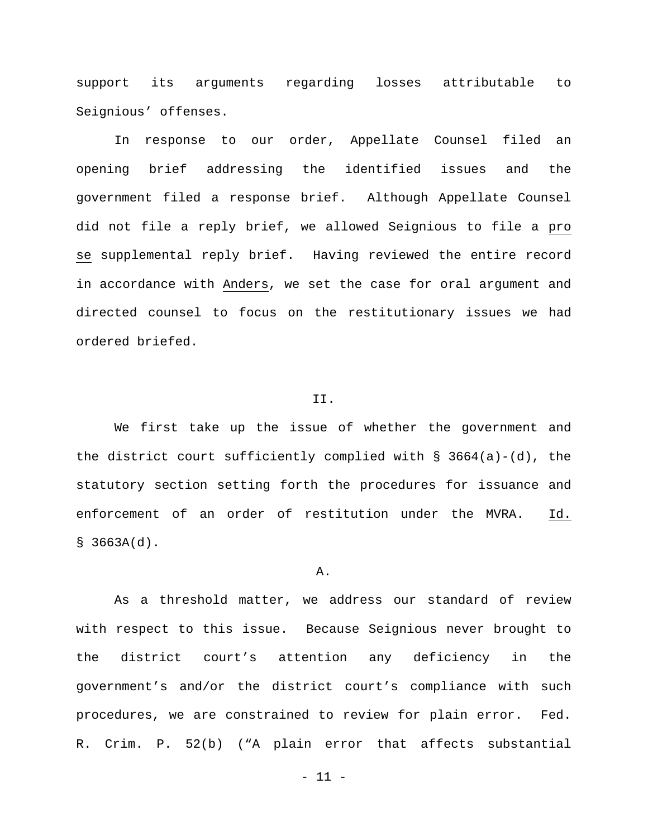support its arguments regarding losses attributable to Seignious' offenses.

In response to our order, Appellate Counsel filed an opening brief addressing the identified issues and the government filed a response brief. Although Appellate Counsel did not file a reply brief, we allowed Seignious to file a pro se supplemental reply brief. Having reviewed the entire record in accordance with Anders, we set the case for oral argument and directed counsel to focus on the restitutionary issues we had ordered briefed.

### II.

We first take up the issue of whether the government and the district court sufficiently complied with  $\S$  3664(a)-(d), the statutory section setting forth the procedures for issuance and enforcement of an order of restitution under the MVRA. Id.  $$3663A(d).$ 

#### A.

As a threshold matter, we address our standard of review with respect to this issue. Because Seignious never brought to the district court's attention any deficiency in the government's and/or the district court's compliance with such procedures, we are constrained to review for plain error. Fed. R. Crim. P. 52(b) ("A plain error that affects substantial

 $-11 -$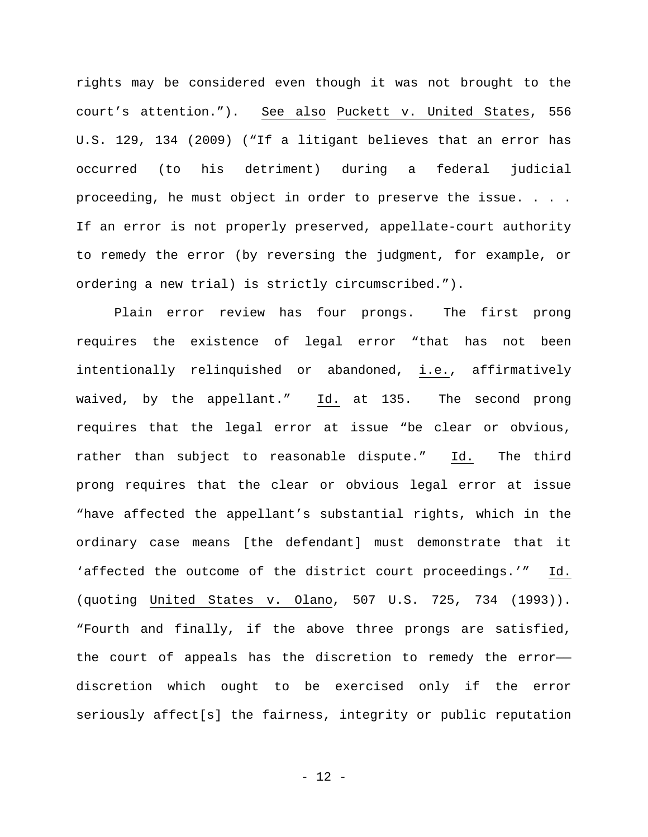rights may be considered even though it was not brought to the court's attention."). See also Puckett v. United States, 556 U.S. 129, 134 (2009) ("If a litigant believes that an error has occurred (to his detriment) during a federal judicial proceeding, he must object in order to preserve the issue. . . . If an error is not properly preserved, appellate-court authority to remedy the error (by reversing the judgment, for example, or ordering a new trial) is strictly circumscribed.").

Plain error review has four prongs. The first prong requires the existence of legal error "that has not been intentionally relinquished or abandoned, i.e., affirmatively waived, by the appellant." Id. at 135. The second prong requires that the legal error at issue "be clear or obvious, rather than subject to reasonable dispute." Id. The third prong requires that the clear or obvious legal error at issue "have affected the appellant's substantial rights, which in the ordinary case means [the defendant] must demonstrate that it 'affected the outcome of the district court proceedings.'" Id. (quoting United States v. Olano, 507 U.S. 725, 734 (1993)). "Fourth and finally, if the above three prongs are satisfied, the court of appeals has the discretion to remedy the error— discretion which ought to be exercised only if the error seriously affect[s] the fairness, integrity or public reputation

- 12 -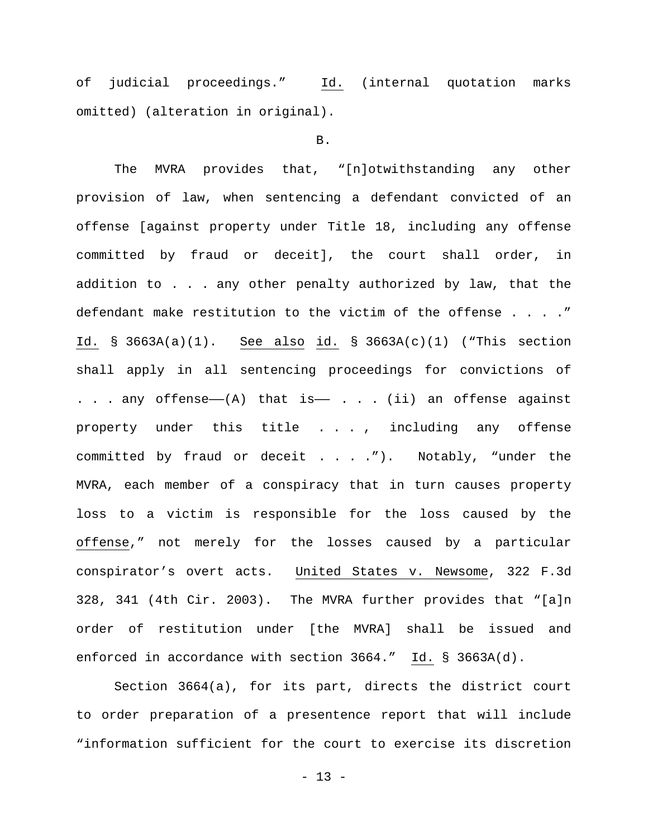of judicial proceedings." Id. (internal quotation marks omitted) (alteration in original).

### B.

The MVRA provides that, "[n]otwithstanding any other provision of law, when sentencing a defendant convicted of an offense [against property under Title 18, including any offense committed by fraud or deceit], the court shall order, in addition to . . . any other penalty authorized by law, that the defendant make restitution to the victim of the offense . . . ." Id. § 3663A(a)(1). See also id. § 3663A(c)(1) ("This section shall apply in all sentencing proceedings for convictions of . . . any offense— $(A)$  that is— . . . (ii) an offense against property under this title . . . , including any offense committed by fraud or deceit . . . ."). Notably, "under the MVRA, each member of a conspiracy that in turn causes property loss to a victim is responsible for the loss caused by the offense," not merely for the losses caused by a particular conspirator's overt acts. United States v. Newsome, 322 F.3d 328, 341 (4th Cir. 2003). The MVRA further provides that "[a]n order of restitution under [the MVRA] shall be issued and enforced in accordance with section 3664." Id. § 3663A(d).

[Section 3664\(a\),](http://web2.westlaw.com/find/default.wl?mt=205&db=1000546&docname=18USCAS3664&rp=%2ffind%2fdefault.wl&findtype=L&ordoc=2032154118&tc=-1&vr=2.0&fn=_top&sv=Full&tf=-1&referencepositiontype=T&pbc=7840E2C7&referenceposition=SP%3b8b3b0000958a4&rs=WLW14.04) for its part, directs the district court to order preparation of a presentence report that will include "information sufficient for the court to exercise its discretion

- 13 -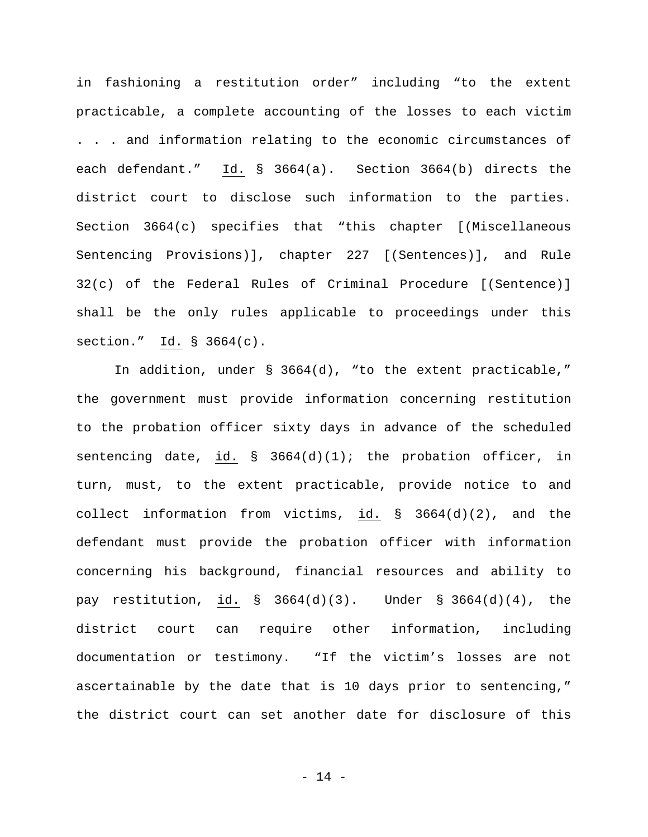in fashioning a restitution order" including "to the extent practicable, a complete accounting of the losses to each victim . . . and information relating to the economic circumstances of each defendant." Id. [§ 3664\(a\).](http://web2.westlaw.com/find/default.wl?mt=205&db=1000546&docname=18USCAS3664&rp=%2ffind%2fdefault.wl&findtype=L&ordoc=2032154118&tc=-1&vr=2.0&fn=_top&sv=Full&tf=-1&referencepositiontype=T&pbc=7840E2C7&referenceposition=SP%3b8b3b0000958a4&rs=WLW14.04) Section 3664(b) directs the district court to disclose such information to the parties. Section 3664(c) specifies that "this chapter [(Miscellaneous Sentencing Provisions)], chapter 227 [(Sentences)], and [Rule](http://web2.westlaw.com/find/default.wl?mt=205&db=1004365&docname=USFRCRPR32&rp=%2ffind%2fdefault.wl&findtype=L&ordoc=2002434259&tc=-1&vr=2.0&fn=_top&sv=Full&tf=-1&pbc=8CA32268&rs=WLW14.04)  [32\(c\) of the Federal Rules of Criminal Procedure](http://web2.westlaw.com/find/default.wl?mt=205&db=1004365&docname=USFRCRPR32&rp=%2ffind%2fdefault.wl&findtype=L&ordoc=2002434259&tc=-1&vr=2.0&fn=_top&sv=Full&tf=-1&pbc=8CA32268&rs=WLW14.04) [(Sentence)] shall be the only rules applicable to proceedings under this section." Id. [§ 3664\(c\).](http://web2.westlaw.com/find/default.wl?mt=205&db=1000546&docname=18USCAS3664&rp=%2ffind%2fdefault.wl&findtype=L&ordoc=2002434259&tc=-1&vr=2.0&fn=_top&sv=Full&tf=-1&referencepositiontype=T&pbc=8CA32268&referenceposition=SP%3b4b24000003ba5&rs=WLW14.04)

In addition, under § [3664\(d\),](http://web2.westlaw.com/find/default.wl?mt=205&db=1000546&docname=18USCAS3664&rp=%2ffind%2fdefault.wl&findtype=L&ordoc=2032154118&tc=-1&vr=2.0&fn=_top&sv=Full&tf=-1&referencepositiontype=T&pbc=7840E2C7&referenceposition=SP%3b5ba1000067d06&rs=WLW14.04) "to the extent practicable," the government must provide information concerning restitution to the probation officer sixty days in advance of the scheduled sentencing date, id.  $\S$  3664(d)(1); the probation officer, in turn, must, to the extent practicable, provide notice to and collect information from victims, id. [§ 3664\(d\)\(2\),](http://web2.westlaw.com/find/default.wl?mt=205&db=1000546&docname=18USCAS3664&rp=%2ffind%2fdefault.wl&findtype=L&ordoc=2032154118&tc=-1&vr=2.0&fn=_top&sv=Full&tf=-1&referencepositiontype=T&pbc=7840E2C7&referenceposition=SP%3b4be3000003be5&rs=WLW14.04) and the defendant must provide the probation officer with information concerning his background, financial resources and ability to pay restitution, id. [§ 3664\(d\)\(3\).](http://web2.westlaw.com/find/default.wl?mt=205&db=1000546&docname=18USCAS3664&rp=%2ffind%2fdefault.wl&findtype=L&ordoc=2032154118&tc=-1&vr=2.0&fn=_top&sv=Full&tf=-1&referencepositiontype=T&pbc=7840E2C7&referenceposition=SP%3b17df000040924&rs=WLW14.04) Under § [3664\(d\)\(4\),](http://web2.westlaw.com/find/default.wl?mt=205&db=1000546&docname=18USCAS3664&rp=%2ffind%2fdefault.wl&findtype=L&ordoc=2032154118&tc=-1&vr=2.0&fn=_top&sv=Full&tf=-1&referencepositiontype=T&pbc=7840E2C7&referenceposition=SP%3b20c3000034ad5&rs=WLW14.04) the district court can require other information, including documentation or testimony. "If the victim's losses are not ascertainable by the date that is 10 days prior to sentencing," the district court can set another date for disclosure of this

- 14 -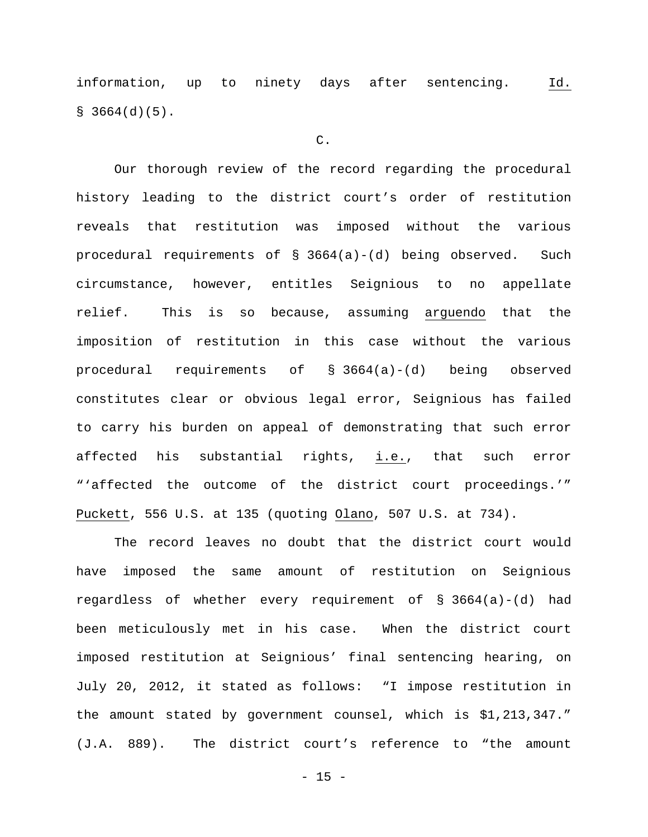information, up to ninety days after sentencing. Id.  $$3664(d)(5)$ .

# C.

Our thorough review of the record regarding the procedural history leading to the district court's order of restitution reveals that restitution was imposed without the various procedural requirements of § 3664(a)-(d) being observed. Such circumstance, however, entitles Seignious to no appellate relief. This is so because, assuming arguendo that the imposition of restitution in this case without the various procedural requirements of § 3664(a)-(d) being observed constitutes clear or obvious legal error, Seignious has failed to carry his burden on appeal of demonstrating that such error affected his substantial rights, i.e., that such error "'affected the outcome of the district court proceedings.'" Puckett, 556 U.S. at 135 (quoting Olano, 507 U.S. at 734).

The record leaves no doubt that the district court would have imposed the same amount of restitution on Seignious regardless of whether every requirement of § 3664(a)-(d) had been meticulously met in his case. When the district court imposed restitution at Seignious' final sentencing hearing, on July 20, 2012, it stated as follows: "I impose restitution in the amount stated by government counsel, which is \$1,213,347." (J.A. 889). The district court's reference to "the amount

 $- 15 -$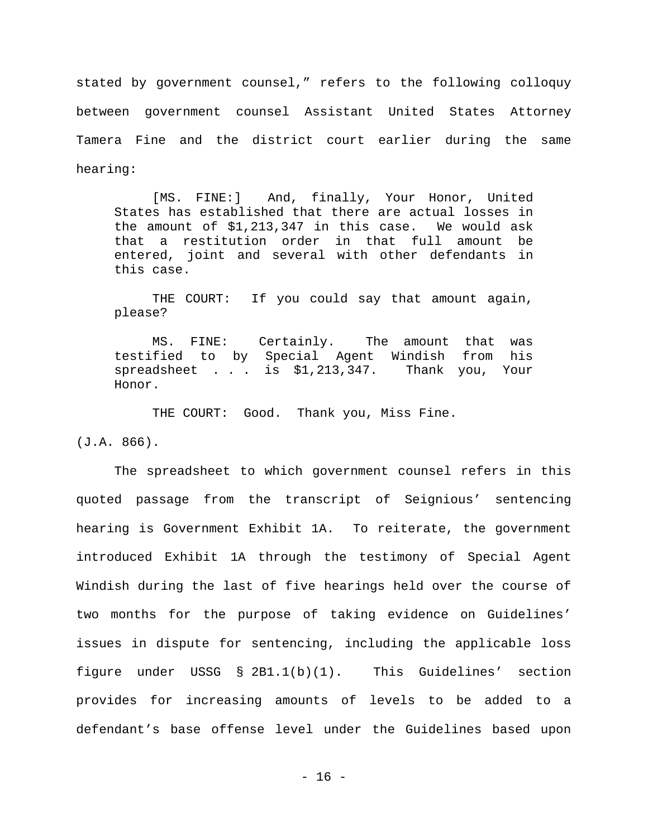stated by government counsel," refers to the following colloquy between government counsel Assistant United States Attorney Tamera Fine and the district court earlier during the same hearing:

[MS. FINE:] And, finally, Your Honor, United States has established that there are actual losses in the amount of \$1,213,347 in this case. We would ask that a restitution order in that full amount be entered, joint and several with other defendants in this case.

THE COURT: If you could say that amount again, please?

MS. FINE: Certainly. The amount that was testified to by Special Agent Windish from his spreadsheet . . . is \$1,213,347. Thank you, Your Honor.

THE COURT: Good. Thank you, Miss Fine.

(J.A. 866).

The spreadsheet to which government counsel refers in this quoted passage from the transcript of Seignious' sentencing hearing is Government Exhibit 1A. To reiterate, the government introduced Exhibit 1A through the testimony of Special Agent Windish during the last of five hearings held over the course of two months for the purpose of taking evidence on Guidelines' issues in dispute for sentencing, including the applicable loss figure under USSG § 2B1.1(b)(1). This Guidelines' section provides for increasing amounts of levels to be added to a defendant's base offense level under the Guidelines based upon

- 16 -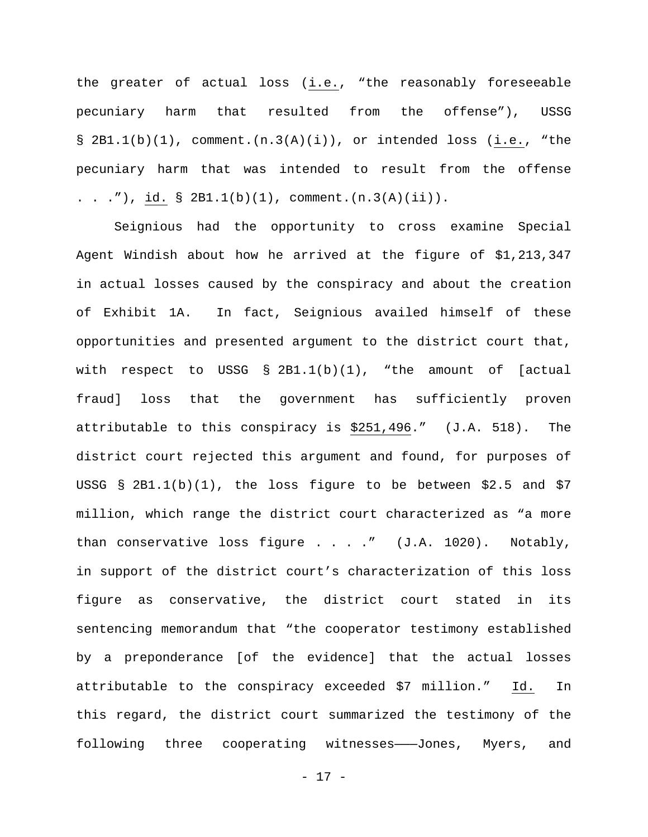the greater of actual loss (i.e., "the reasonably foreseeable pecuniary harm that resulted from the offense"), USSG  $\S$  2B1.1(b)(1), comment.(n.3(A)(i)), or intended loss (i.e., "the pecuniary harm that was intended to result from the offense . . ."), id.  $\S$  2B1.1(b)(1), comment.(n.3(A)(ii)).

Seignious had the opportunity to cross examine Special Agent Windish about how he arrived at the figure of \$1,213,347 in actual losses caused by the conspiracy and about the creation of Exhibit 1A. In fact, Seignious availed himself of these opportunities and presented argument to the district court that, with respect to USSG  $\S$  2B1.1(b)(1), "the amount of [actual fraud] loss that the government has sufficiently proven attributable to this conspiracy is \$251,496." (J.A. 518). The district court rejected this argument and found, for purposes of USSG  $\S$  2B1.1(b)(1), the loss figure to be between \$2.5 and \$7 million, which range the district court characterized as "a more than conservative loss figure  $\ldots$  ." (J.A. 1020). Notably, in support of the district court's characterization of this loss figure as conservative, the district court stated in its sentencing memorandum that "the cooperator testimony established by a preponderance [of the evidence] that the actual losses attributable to the conspiracy exceeded \$7 million." Id. In this regard, the district court summarized the testimony of the following three cooperating witnesses--Jones, Myers, and

- 17 -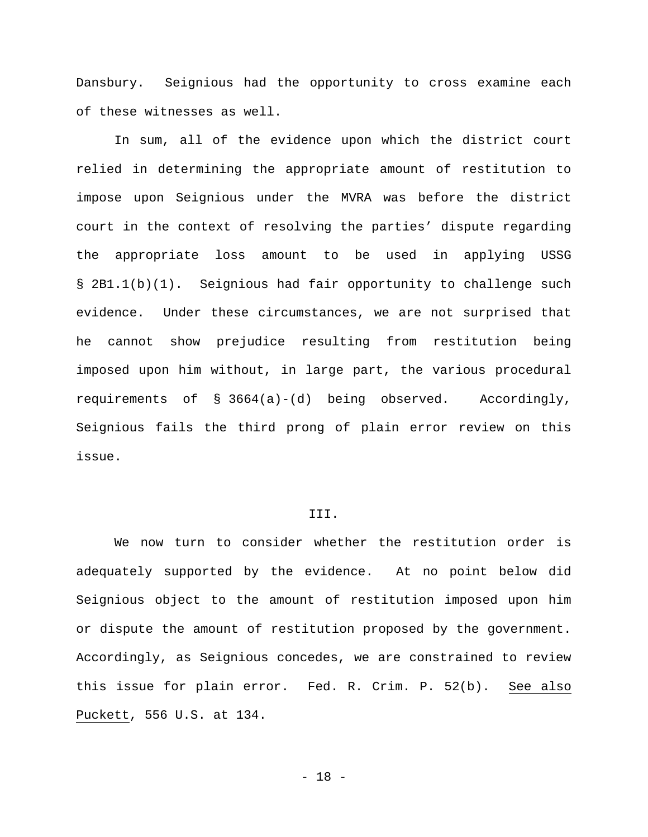Dansbury. Seignious had the opportunity to cross examine each of these witnesses as well.

In sum, all of the evidence upon which the district court relied in determining the appropriate amount of restitution to impose upon Seignious under the MVRA was before the district court in the context of resolving the parties' dispute regarding the appropriate loss amount to be used in applying USSG § 2B1.1(b)(1). Seignious had fair opportunity to challenge such evidence. Under these circumstances, we are not surprised that he cannot show prejudice resulting from restitution being imposed upon him without, in large part, the various procedural requirements of § 3664(a)-(d) being observed. Accordingly, Seignious fails the third prong of plain error review on this issue.

# III.

We now turn to consider whether the restitution order is adequately supported by the evidence. At no point below did Seignious object to the amount of restitution imposed upon him or dispute the amount of restitution proposed by the government. Accordingly, as Seignious concedes, we are constrained to review this issue for plain error. Fed. R. Crim. P. 52(b). See also Puckett, 556 U.S. at 134.

- 18 -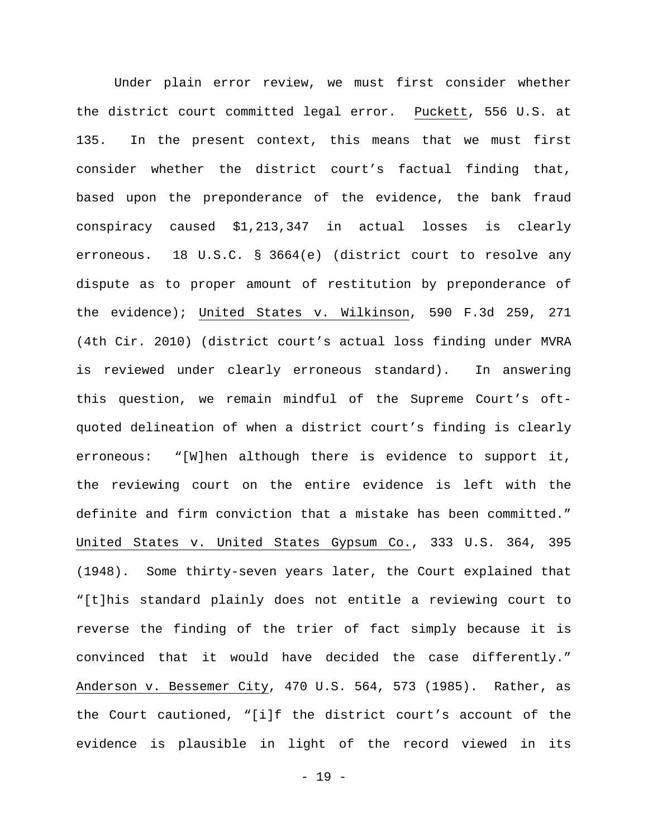Under plain error review, we must first consider whether the district court committed legal error. Puckett, 556 U.S. at 135. In the present context, this means that we must first consider whether the district court's factual finding that, based upon the preponderance of the evidence, the bank fraud conspiracy caused \$1,213,347 in actual losses is clearly erroneous. 18 U.S.C. § 3664(e) (district court to resolve any dispute as to proper amount of restitution by preponderance of the evidence); United States v. Wilkinson, 590 F.3d 259, 271 (4th Cir. 2010) (district court's actual loss finding under MVRA is reviewed under clearly erroneous standard). In answering this question, we remain mindful of the Supreme Court's oftquoted delineation of when a district court's finding is clearly erroneous: "[W]hen although there is evidence to support it, the reviewing court on the entire evidence is left with the definite and firm conviction that a mistake has been committed." United States v. United States Gypsum Co., 333 U.S. 364, 395 (1948). Some thirty-seven years later, the Court explained that "[t]his standard plainly does not entitle a reviewing court to reverse the finding of the trier of fact simply because it is convinced that it would have decided the case differently." Anderson v. Bessemer City, 470 U.S. 564, 573 (1985). Rather, as the Court cautioned, "[i]f the district court's account of the evidence is plausible in light of the record viewed in its

- 19 -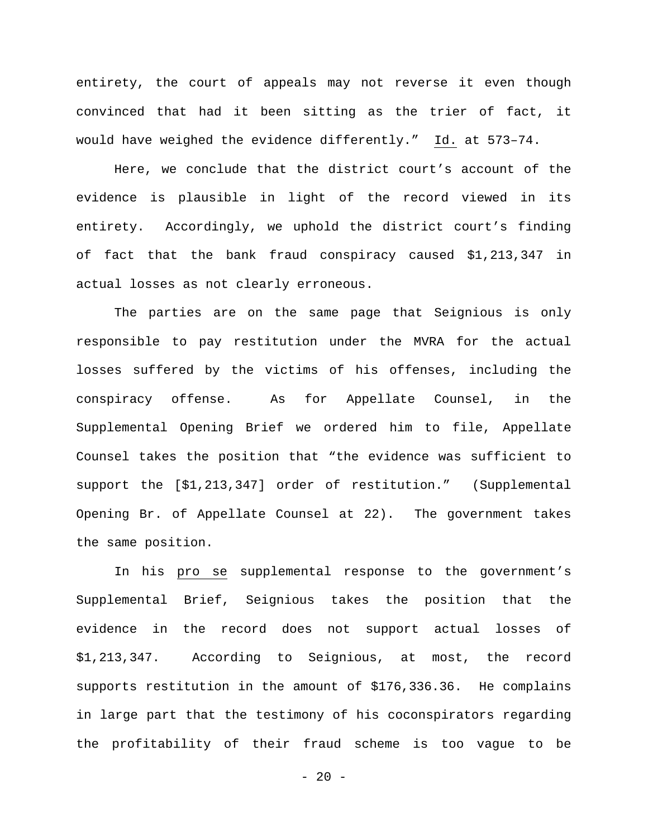entirety, the court of appeals may not reverse it even though convinced that had it been sitting as the trier of fact, it would have weighed the evidence differently." Id. at 573–74.

Here, we conclude that the district court's account of the evidence is plausible in light of the record viewed in its entirety. Accordingly, we uphold the district court's finding of fact that the bank fraud conspiracy caused \$1,213,347 in actual losses as not clearly erroneous.

The parties are on the same page that Seignious is only responsible to pay restitution under the MVRA for the actual losses suffered by the victims of his offenses, including the conspiracy offense. As for Appellate Counsel, in the Supplemental Opening Brief we ordered him to file, Appellate Counsel takes the position that "the evidence was sufficient to support the [\$1,213,347] order of restitution." (Supplemental Opening Br. of Appellate Counsel at 22). The government takes the same position.

In his pro se supplemental response to the government's Supplemental Brief, Seignious takes the position that the evidence in the record does not support actual losses of \$1,213,347. According to Seignious, at most, the record supports restitution in the amount of \$176,336.36. He complains in large part that the testimony of his coconspirators regarding the profitability of their fraud scheme is too vague to be

 $- 20 -$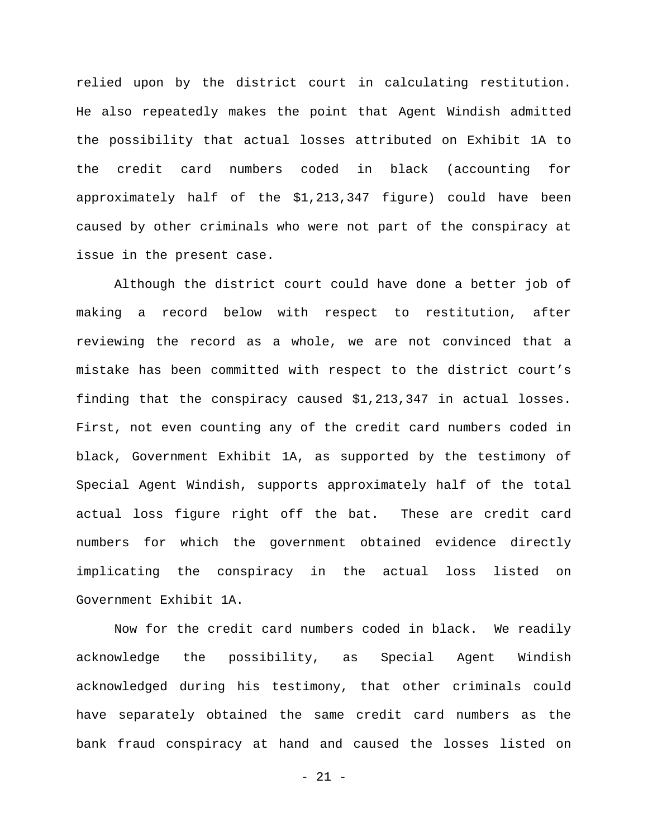relied upon by the district court in calculating restitution. He also repeatedly makes the point that Agent Windish admitted the possibility that actual losses attributed on Exhibit 1A to the credit card numbers coded in black (accounting for approximately half of the \$1,213,347 figure) could have been caused by other criminals who were not part of the conspiracy at issue in the present case.

Although the district court could have done a better job of making a record below with respect to restitution, after reviewing the record as a whole, we are not convinced that a mistake has been committed with respect to the district court's finding that the conspiracy caused \$1,213,347 in actual losses. First, not even counting any of the credit card numbers coded in black, Government Exhibit 1A, as supported by the testimony of Special Agent Windish, supports approximately half of the total actual loss figure right off the bat. These are credit card numbers for which the government obtained evidence directly implicating the conspiracy in the actual loss listed on Government Exhibit 1A.

Now for the credit card numbers coded in black. We readily acknowledge the possibility, as Special Agent Windish acknowledged during his testimony, that other criminals could have separately obtained the same credit card numbers as the bank fraud conspiracy at hand and caused the losses listed on

- 21 -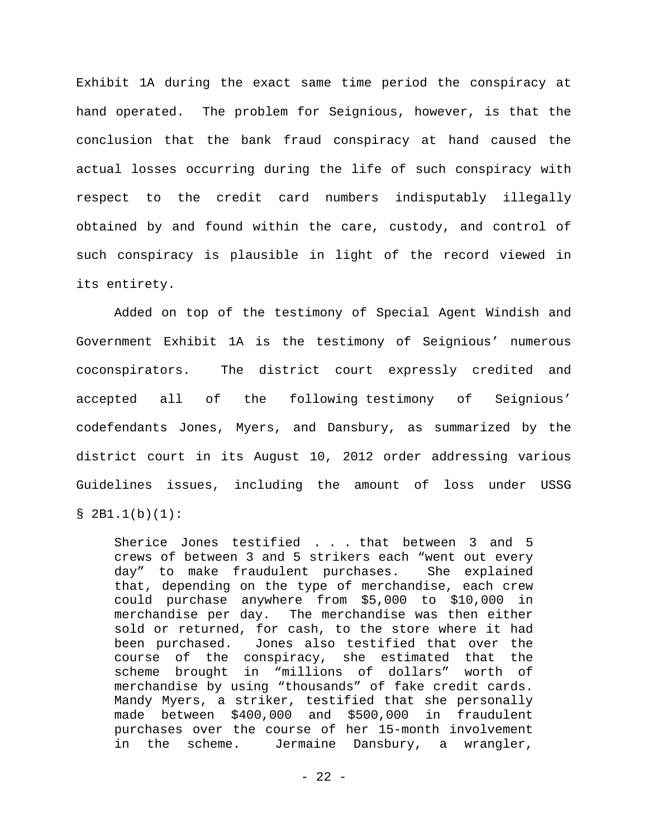Exhibit 1A during the exact same time period the conspiracy at hand operated. The problem for Seignious, however, is that the conclusion that the bank fraud conspiracy at hand caused the actual losses occurring during the life of such conspiracy with respect to the credit card numbers indisputably illegally obtained by and found within the care, custody, and control of such conspiracy is plausible in light of the record viewed in its entirety.

Added on top of the testimony of Special Agent Windish and Government Exhibit 1A is the testimony of Seignious' numerous coconspirators. The district court expressly credited and accepted all of the following testimony of Seignious' codefendants Jones, Myers, and Dansbury, as summarized by the district court in its August 10, 2012 order addressing various Guidelines issues, including the amount of loss under USSG  $$ 2B1.1(b)(1):$ 

Sherice Jones testified . . . that between 3 and 5 crews of between 3 and 5 strikers each "went out every day" to make fraudulent purchases. She explained that, depending on the type of merchandise, each crew could purchase anywhere from \$5,000 to \$10,000 in merchandise per day. The merchandise was then either sold or returned, for cash, to the store where it had been purchased. Jones also testified that over the course of the conspiracy, she estimated that the scheme brought in "millions of dollars" worth of merchandise by using "thousands" of fake credit cards. Mandy Myers, a striker, testified that she personally made between \$400,000 and \$500,000 in fraudulent purchases over the course of her 15-month involvement in the scheme. Jermaine Dansbury, a wrangler,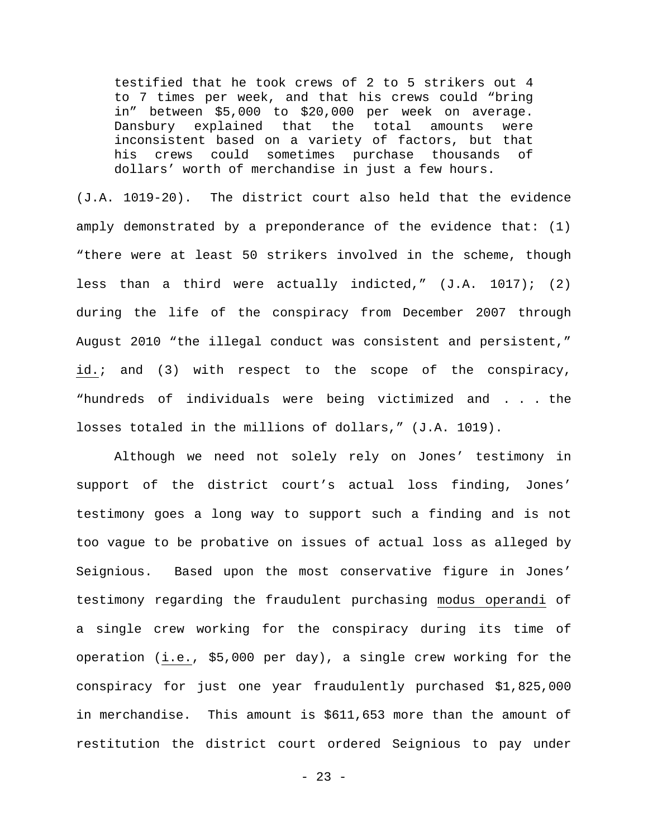testified that he took crews of 2 to 5 strikers out 4 to 7 times per week, and that his crews could "bring in" between \$5,000 to \$20,000 per week on average. Dansbury explained that the total amounts were inconsistent based on a variety of factors, but that his crews could sometimes purchase thousands of dollars' worth of merchandise in just a few hours.

(J.A. 1019-20). The district court also held that the evidence amply demonstrated by a preponderance of the evidence that: (1) "there were at least 50 strikers involved in the scheme, though less than a third were actually indicted," (J.A. 1017); (2) during the life of the conspiracy from December 2007 through August 2010 "the illegal conduct was consistent and persistent," id.; and (3) with respect to the scope of the conspiracy, "hundreds of individuals were being victimized and . . . the losses totaled in the millions of dollars," (J.A. 1019).

Although we need not solely rely on Jones' testimony in support of the district court's actual loss finding, Jones' testimony goes a long way to support such a finding and is not too vague to be probative on issues of actual loss as alleged by Seignious. Based upon the most conservative figure in Jones' testimony regarding the fraudulent purchasing modus operandi of a single crew working for the conspiracy during its time of operation (i.e., \$5,000 per day), a single crew working for the conspiracy for just one year fraudulently purchased \$1,825,000 in merchandise. This amount is \$611,653 more than the amount of restitution the district court ordered Seignious to pay under

 $- 23 -$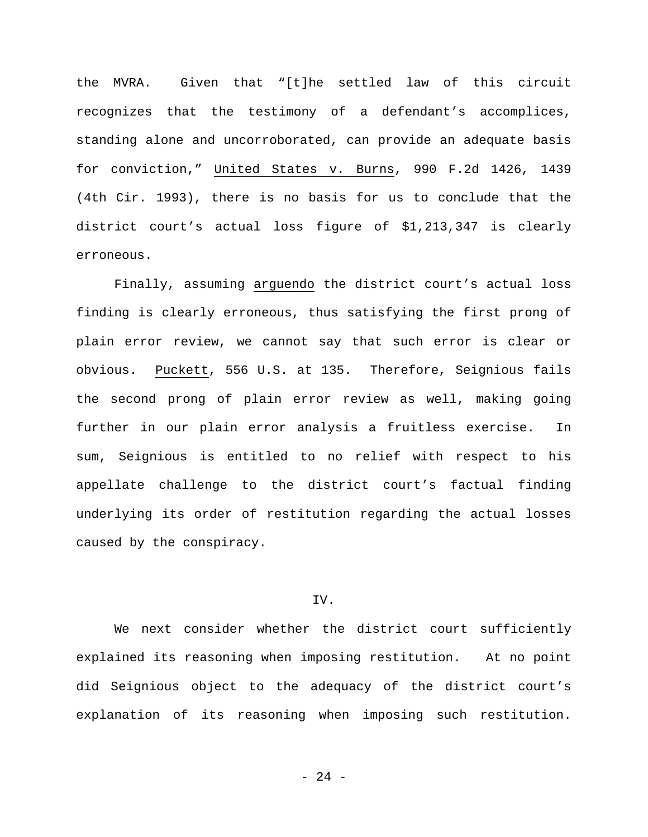the MVRA. Given that "[t]he settled law of this circuit recognizes that the testimony of a defendant's accomplices, standing alone and uncorroborated, can provide an adequate basis for conviction," United States v. Burns, 990 F.2d 1426, 1439 (4th Cir. 1993), there is no basis for us to conclude that the district court's actual loss figure of \$1,213,347 is clearly erroneous.

Finally, assuming arguendo the district court's actual loss finding is clearly erroneous, thus satisfying the first prong of plain error review, we cannot say that such error is clear or obvious. Puckett, 556 U.S. at 135. Therefore, Seignious fails the second prong of plain error review as well, making going further in our plain error analysis a fruitless exercise. In sum, Seignious is entitled to no relief with respect to his appellate challenge to the district court's factual finding underlying its order of restitution regarding the actual losses caused by the conspiracy.

# IV.

We next consider whether the district court sufficiently explained its reasoning when imposing restitution. At no point did Seignious object to the adequacy of the district court's explanation of its reasoning when imposing such restitution.

- 24 -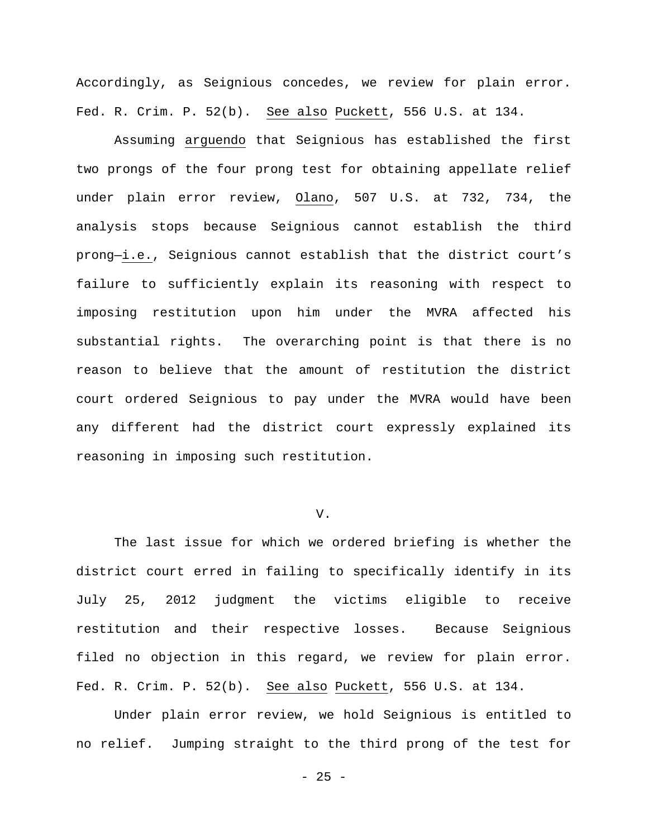Accordingly, as Seignious concedes, we review for plain error. Fed. R. Crim. P. 52(b). See also Puckett, 556 U.S. at 134.

Assuming arguendo that Seignious has established the first two prongs of the four prong test for obtaining appellate relief under plain error review, Olano, 507 U.S. at 732, 734, the analysis stops because Seignious cannot establish the third prong—i.e., Seignious cannot establish that the district court's failure to sufficiently explain its reasoning with respect to imposing restitution upon him under the MVRA affected his substantial rights. The overarching point is that there is no reason to believe that the amount of restitution the district court ordered Seignious to pay under the MVRA would have been any different had the district court expressly explained its reasoning in imposing such restitution.

#### V.

The last issue for which we ordered briefing is whether the district court erred in failing to specifically identify in its July 25, 2012 judgment the victims eligible to receive restitution and their respective losses. Because Seignious filed no objection in this regard, we review for plain error. Fed. R. Crim. P. 52(b). See also Puckett, 556 U.S. at 134.

Under plain error review, we hold Seignious is entitled to no relief. Jumping straight to the third prong of the test for

- 25 -